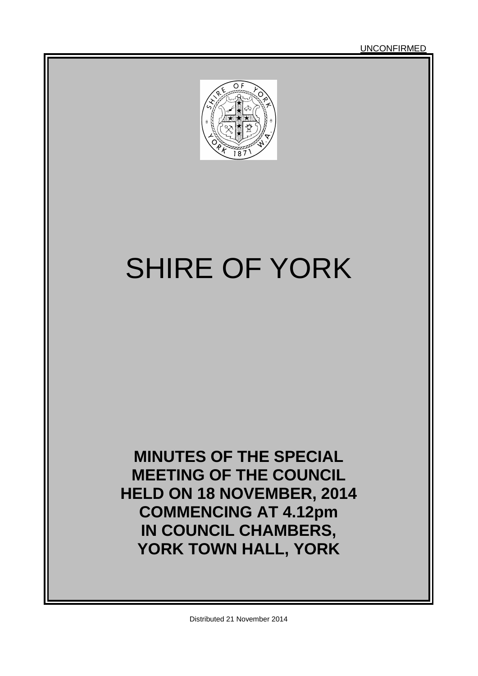UNCONFIRMED



# SHIRE OF YORK

**MINUTES OF THE SPECIAL MEETING OF THE COUNCIL HELD ON 18 NOVEMBER, 2014 COMMENCING AT 4.12pm IN COUNCIL CHAMBERS, YORK TOWN HALL, YORK**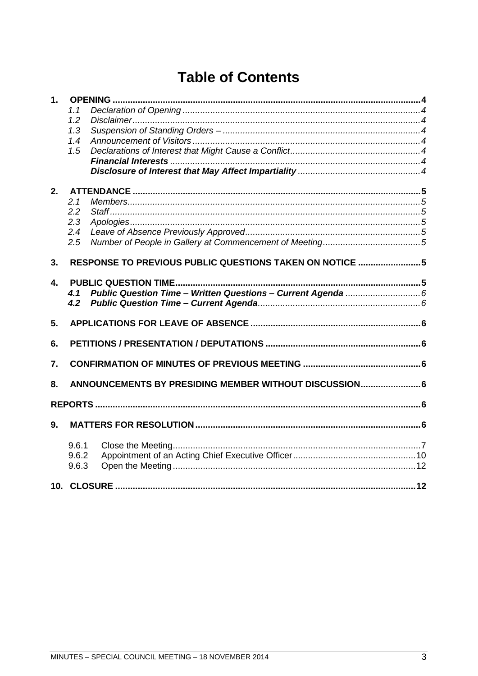# **Table of Contents**

| 1.                        |                                                        |                                                         |  |
|---------------------------|--------------------------------------------------------|---------------------------------------------------------|--|
|                           | 1.1                                                    |                                                         |  |
|                           | 1.2                                                    |                                                         |  |
|                           | 1.3                                                    |                                                         |  |
|                           | 1.4                                                    |                                                         |  |
|                           | 1.5                                                    |                                                         |  |
|                           |                                                        |                                                         |  |
|                           |                                                        |                                                         |  |
| 2.                        |                                                        |                                                         |  |
|                           | 2.1                                                    |                                                         |  |
|                           | 2.2                                                    |                                                         |  |
|                           | 2.3                                                    |                                                         |  |
|                           | 2.4                                                    |                                                         |  |
|                           | 2.5                                                    |                                                         |  |
| 3.                        |                                                        | RESPONSE TO PREVIOUS PUBLIC QUESTIONS TAKEN ON NOTICE 5 |  |
|                           |                                                        |                                                         |  |
| $\overline{\mathbf{4}}$ . |                                                        |                                                         |  |
|                           | 41                                                     |                                                         |  |
|                           | 4.2                                                    |                                                         |  |
| 5.                        |                                                        |                                                         |  |
|                           |                                                        |                                                         |  |
| 6.                        |                                                        |                                                         |  |
| 7.                        |                                                        |                                                         |  |
| 8.                        | ANNOUNCEMENTS BY PRESIDING MEMBER WITHOUT DISCUSSION 6 |                                                         |  |
|                           |                                                        |                                                         |  |
|                           |                                                        |                                                         |  |
| 9.                        |                                                        |                                                         |  |
|                           | 9.6.1                                                  |                                                         |  |
|                           | 9.6.2                                                  |                                                         |  |
|                           | 9.6.3                                                  |                                                         |  |
|                           |                                                        |                                                         |  |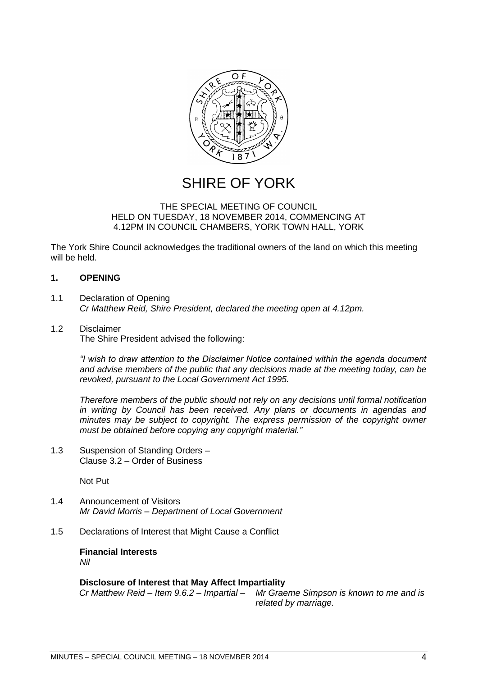

# SHIRE OF YORK

#### THE SPECIAL MEETING OF COUNCIL HELD ON TUESDAY, 18 NOVEMBER 2014, COMMENCING AT 4.12PM IN COUNCIL CHAMBERS, YORK TOWN HALL, YORK

The York Shire Council acknowledges the traditional owners of the land on which this meeting will be held.

# <span id="page-3-0"></span>**1. OPENING**

- <span id="page-3-1"></span>1.1 Declaration of Opening *Cr Matthew Reid, Shire President, declared the meeting open at 4.12pm.*
- <span id="page-3-2"></span>1.2 Disclaimer The Shire President advised the following:

*―I wish to draw attention to the Disclaimer Notice contained within the agenda document and advise members of the public that any decisions made at the meeting today, can be revoked, pursuant to the Local Government Act 1995.* 

*Therefore members of the public should not rely on any decisions until formal notification in writing by Council has been received. Any plans or documents in agendas and minutes may be subject to copyright. The express permission of the copyright owner must be obtained before copying any copyright material.‖*

<span id="page-3-3"></span>1.3 Suspension of Standing Orders – Clause 3.2 – Order of Business

Not Put

- <span id="page-3-4"></span>1.4 Announcement of Visitors *Mr David Morris – Department of Local Government*
- <span id="page-3-6"></span><span id="page-3-5"></span>1.5 Declarations of Interest that Might Cause a Conflict

**Financial Interests** *Nil*

<span id="page-3-7"></span>**Disclosure of Interest that May Affect Impartiality** *Cr Matthew Reid – Item 9.6.2 – Impartial – Mr Graeme Simpson is known to me and is related by marriage.*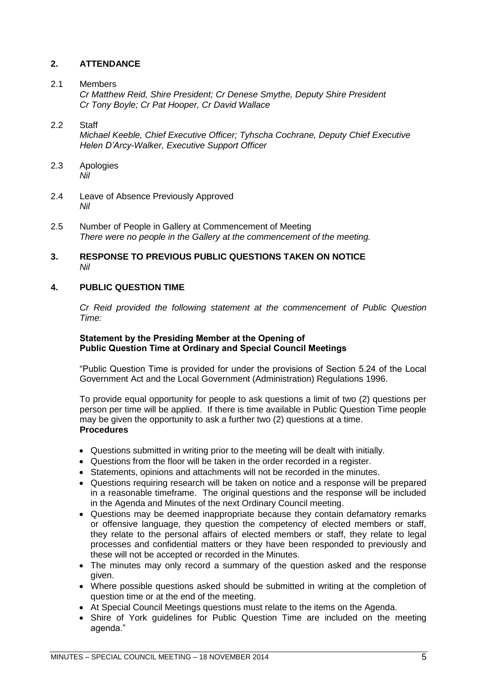# <span id="page-4-0"></span>**2. ATTENDANCE**

#### <span id="page-4-1"></span>2.1 Members

*Cr Matthew Reid, Shire President; Cr Denese Smythe, Deputy Shire President Cr Tony Boyle; Cr Pat Hooper, Cr David Wallace*

# <span id="page-4-2"></span>2.2 Staff

*Michael Keeble, Chief Executive Officer; Tyhscha Cochrane, Deputy Chief Executive Helen D'Arcy-Walker, Executive Support Officer*

- <span id="page-4-3"></span>2.3 Apologies *Nil*
- <span id="page-4-4"></span>2.4 Leave of Absence Previously Approved *Nil*
- <span id="page-4-5"></span>2.5 Number of People in Gallery at Commencement of Meeting *There were no people in the Gallery at the commencement of the meeting.*

#### <span id="page-4-6"></span>**3. RESPONSE TO PREVIOUS PUBLIC QUESTIONS TAKEN ON NOTICE** *Nil*

# <span id="page-4-7"></span>**4. PUBLIC QUESTION TIME**

*Cr Reid provided the following statement at the commencement of Public Question Time:*

# **Statement by the Presiding Member at the Opening of Public Question Time at Ordinary and Special Council Meetings**

"Public Question Time is provided for under the provisions of Section 5.24 of the Local Government Act and the Local Government (Administration) Regulations 1996.

To provide equal opportunity for people to ask questions a limit of two (2) questions per person per time will be applied. If there is time available in Public Question Time people may be given the opportunity to ask a further two (2) questions at a time. **Procedures**

- Questions submitted in writing prior to the meeting will be dealt with initially.
- Questions from the floor will be taken in the order recorded in a register.
- Statements, opinions and attachments will not be recorded in the minutes.
- Questions requiring research will be taken on notice and a response will be prepared in a reasonable timeframe. The original questions and the response will be included in the Agenda and Minutes of the next Ordinary Council meeting.
- Questions may be deemed inappropriate because they contain defamatory remarks or offensive language, they question the competency of elected members or staff, they relate to the personal affairs of elected members or staff, they relate to legal processes and confidential matters or they have been responded to previously and these will not be accepted or recorded in the Minutes.
- The minutes may only record a summary of the question asked and the response given.
- Where possible questions asked should be submitted in writing at the completion of question time or at the end of the meeting.
- At Special Council Meetings questions must relate to the items on the Agenda.
- Shire of York guidelines for Public Question Time are included on the meeting agenda."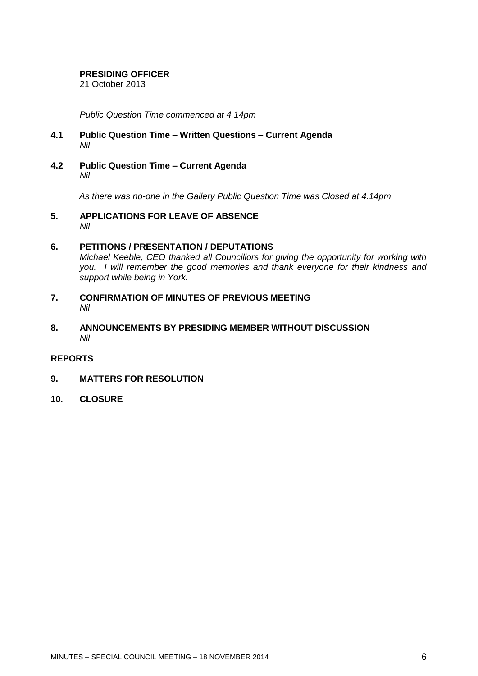#### **PRESIDING OFFICER**

21 October 2013

*Public Question Time commenced at 4.14pm*

- <span id="page-5-0"></span>**4.1 Public Question Time – Written Questions – Current Agenda** *Nil*
- <span id="page-5-1"></span>**4.2 Public Question Time – Current Agenda** *Nil*

*As there was no-one in the Gallery Public Question Time was Closed at 4.14pm*

<span id="page-5-2"></span>**5. APPLICATIONS FOR LEAVE OF ABSENCE** *Nil*

# <span id="page-5-3"></span>**6. PETITIONS / PRESENTATION / DEPUTATIONS** *Michael Keeble, CEO thanked all Councillors for giving the opportunity for working with you. I will remember the good memories and thank everyone for their kindness and support while being in York.*

- <span id="page-5-4"></span>**7. CONFIRMATION OF MINUTES OF PREVIOUS MEETING** *Nil*
- <span id="page-5-5"></span>**8. ANNOUNCEMENTS BY PRESIDING MEMBER WITHOUT DISCUSSION** *Nil*

# <span id="page-5-6"></span>**REPORTS**

- <span id="page-5-7"></span>**9. MATTERS FOR RESOLUTION**
- <span id="page-5-8"></span>**10. CLOSURE**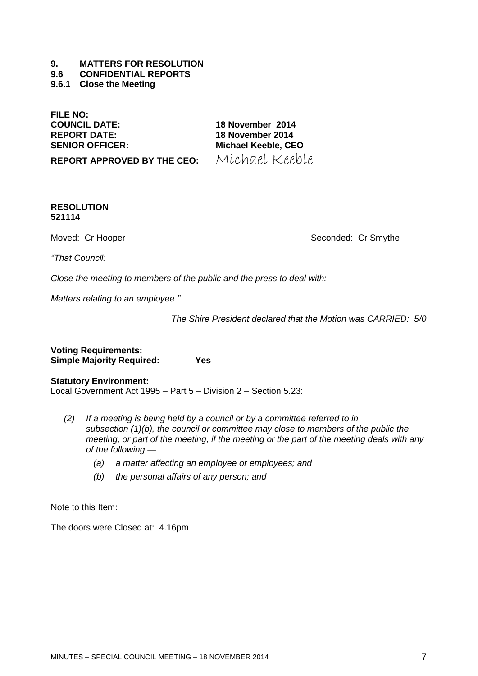#### **9. MATTERS FOR RESOLUTION**

#### **9.6 CONFIDENTIAL REPORTS**

<span id="page-6-0"></span>**9.6.1 Close the Meeting**

**FILE NO:**

**COUNCIL DATE: 18 November 2014 REPORT DATE: 18 November 2014 SENIOR OFFICER: Michael Keeble, CEO**

**REPORT APPROVED BY THE CEO:** Michael Keeble

**RESOLUTION 521114**

Moved: Cr Hooper Seconded: Cr Smythe

*―That Council:*

*Close the meeting to members of the public and the press to deal with:*

*Matters relating to an employee.‖*

*The Shire President declared that the Motion was CARRIED: 5/0*

| <b>Voting Requirements:</b>      |     |
|----------------------------------|-----|
| <b>Simple Majority Required:</b> | Yes |

**Statutory Environment:** Local Government Act 1995 – Part 5 – Division 2 – Section 5.23:

- *(2) If a meeting is being held by a council or by a committee referred to in subsection (1)(b), the council or committee may close to members of the public the meeting, or part of the meeting, if the meeting or the part of the meeting deals with any of the following —*
	- *(a) a matter affecting an employee or employees; and*
	- *(b) the personal affairs of any person; and*

Note to this Item:

The doors were Closed at: 4.16pm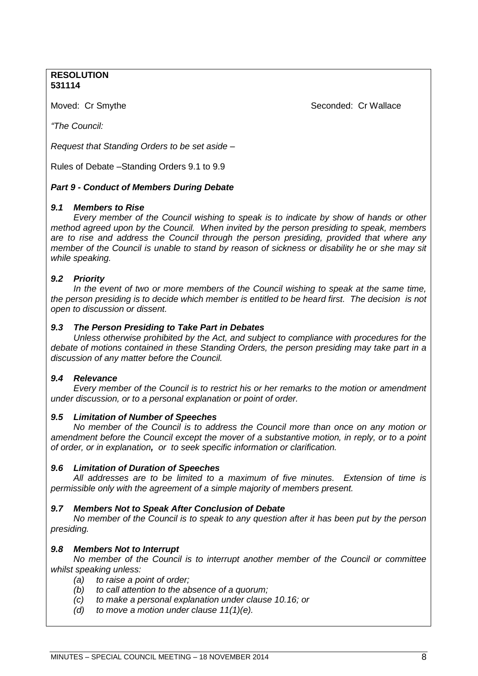# **RESOLUTION 531114**

Moved: Cr Smythe Seconded: Cr Wallace Seconded: Cr Wallace

*―The Council:*

*Request that Standing Orders to be set aside –*

Rules of Debate –Standing Orders 9.1 to 9.9

# *Part 9 - Conduct of Members During Debate*

# *9.1 Members to Rise*

*Every member of the Council wishing to speak is to indicate by show of hands or other method agreed upon by the Council. When invited by the person presiding to speak, members are to rise and address the Council through the person presiding, provided that where any member of the Council is unable to stand by reason of sickness or disability he or she may sit while speaking.*

# *9.2 Priority*

In the event of two or more members of the Council wishing to speak at the same time, *the person presiding is to decide which member is entitled to be heard first. The decision is not open to discussion or dissent.*

# *9.3 The Person Presiding to Take Part in Debates*

*Unless otherwise prohibited by the Act, and subject to compliance with procedures for the debate of motions contained in these Standing Orders, the person presiding may take part in a discussion of any matter before the Council.*

# *9.4 Relevance*

*Every member of the Council is to restrict his or her remarks to the motion or amendment under discussion, or to a personal explanation or point of order.*

# *9.5 Limitation of Number of Speeches*

*No member of the Council is to address the Council more than once on any motion or amendment before the Council except the mover of a substantive motion, in reply, or to a point of order, or in explanation, or to seek specific information or clarification.*

# *9.6 Limitation of Duration of Speeches*

*All addresses are to be limited to a maximum of five minutes. Extension of time is permissible only with the agreement of a simple majority of members present.*

# *9.7 Members Not to Speak After Conclusion of Debate*

*No member of the Council is to speak to any question after it has been put by the person presiding.*

# *9.8 Members Not to Interrupt*

*No member of the Council is to interrupt another member of the Council or committee whilst speaking unless:*

- *(a) to raise a point of order;*
- *(b) to call attention to the absence of a quorum;*
- *(c) to make a personal explanation under clause 10.16; or*
- *(d) to move a motion under clause 11(1)(e).*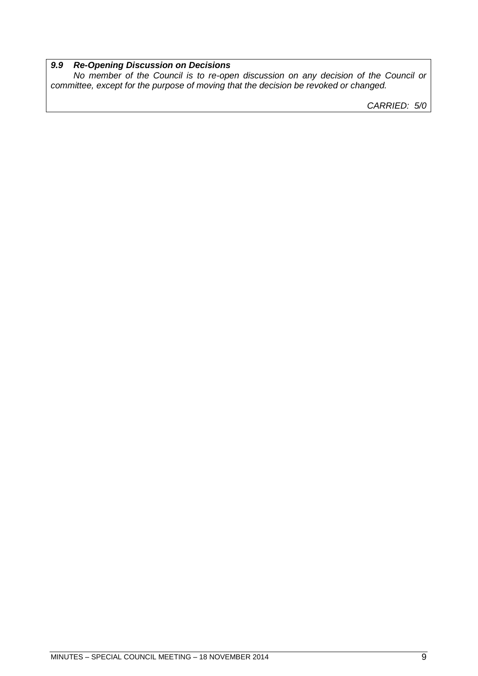# *9.9 Re-Opening Discussion on Decisions*

No member of the Council is to re-open discussion on any decision of the Council or *committee, except for the purpose of moving that the decision be revoked or changed.*

*CARRIED: 5/0*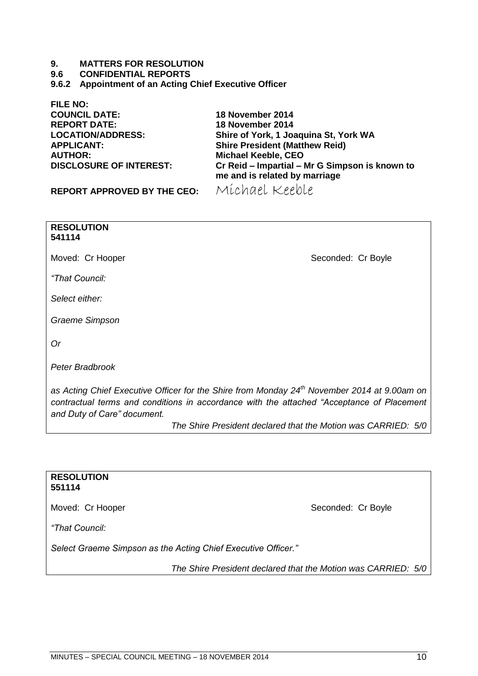#### **9. MATTERS FOR RESOLUTION**

#### **9.6 CONFIDENTIAL REPORTS**

<span id="page-9-0"></span>**9.6.2 Appointment of an Acting Chief Executive Officer**

**FILE NO: COUNCIL DATE: 18 November 2014 REPORT DATE: 18 November 2014 AUTHOR: Michael Keeble, CEO**

**LOCATION/ADDRESS: Shire of York, 1 Joaquina St, York WA Shire President (Matthew Reid) Cr Reid – Impartial – Mr G Simpson is known to me and is related by marriage**

**REPORT APPROVED BY THE CEO:** Michael Keeble

**RESOLUTION 541114** Moved: Cr Hooper Seconded: Cr Boyle *―That Council: Select either: Graeme Simpson Or Peter Bradbrook as Acting Chief Executive Officer for the Shire from Monday 24th November 2014 at 9.00am on*  contractual terms and conditions in accordance with the attached "Acceptance of Placement

*and Duty of Care‖ document.* 

*The Shire President declared that the Motion was CARRIED: 5/0*

#### **RESOLUTION 551114**

Moved: Cr Hooper Seconded: Cr Boyle

*―That Council:*

*Select Graeme Simpson as the Acting Chief Executive Officer.‖*

*The Shire President declared that the Motion was CARRIED: 5/0*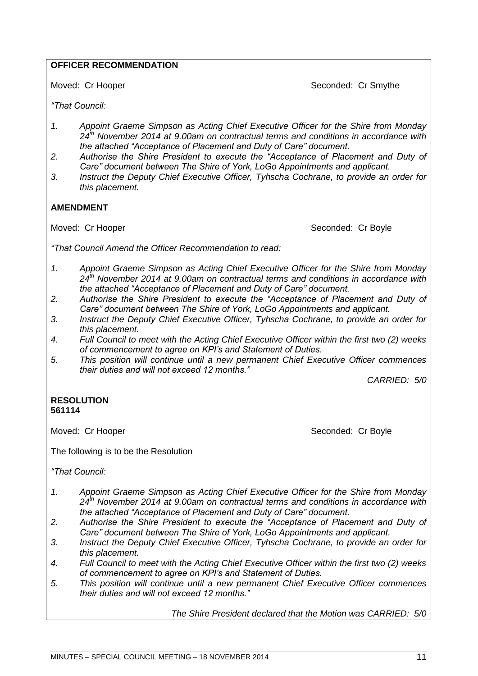# **OFFICER RECOMMENDATION**

Moved: Cr Hooper Seconded: Cr Smythe

*―That Council:*

- *1. Appoint Graeme Simpson as Acting Chief Executive Officer for the Shire from Monday 24th November 2014 at 9.00am on contractual terms and conditions in accordance with the attached ―Acceptance of Placement and Duty of Care‖ document.*
- 2. Authorise the Shire President to execute the "Acceptance of Placement and Duty of *Care‖ document between The Shire of York, LoGo Appointments and applicant.*
- *3. Instruct the Deputy Chief Executive Officer, Tyhscha Cochrane, to provide an order for this placement.*

# **AMENDMENT**

Moved: Cr Hooper Seconded: Cr Boyle

*―That Council Amend the Officer Recommendation to read:*

- *1. Appoint Graeme Simpson as Acting Chief Executive Officer for the Shire from Monday 24th November 2014 at 9.00am on contractual terms and conditions in accordance with*  the attached "Acceptance of Placement and Duty of Care" document.
- 2. Authorise the Shire President to execute the "Acceptance of Placement and Duty of *Care‖ document between The Shire of York, LoGo Appointments and applicant.*
- *3. Instruct the Deputy Chief Executive Officer, Tyhscha Cochrane, to provide an order for this placement.*
- *4. Full Council to meet with the Acting Chief Executive Officer within the first two (2) weeks of commencement to agree on KPI's and Statement of Duties.*
- *5. This position will continue until a new permanent Chief Executive Officer commences their duties and will not exceed 12 months.‖*

*CARRIED: 5/0*

# **RESOLUTION 561114**

Moved: Cr Hooper Seconded: Cr Boyle

The following is to be the Resolution

*―That Council:*

- *1. Appoint Graeme Simpson as Acting Chief Executive Officer for the Shire from Monday 24th November 2014 at 9.00am on contractual terms and conditions in accordance with*  the attached "Acceptance of Placement and Duty of Care" document.
- 2. Authorise the Shire President to execute the "Acceptance of Placement and Duty of *Care‖ document between The Shire of York, LoGo Appointments and applicant.*
- *3. Instruct the Deputy Chief Executive Officer, Tyhscha Cochrane, to provide an order for this placement.*
- *4. Full Council to meet with the Acting Chief Executive Officer within the first two (2) weeks of commencement to agree on KPI's and Statement of Duties.*
- *5. This position will continue until a new permanent Chief Executive Officer commences their duties and will not exceed 12 months.‖*

*The Shire President declared that the Motion was CARRIED: 5/0*